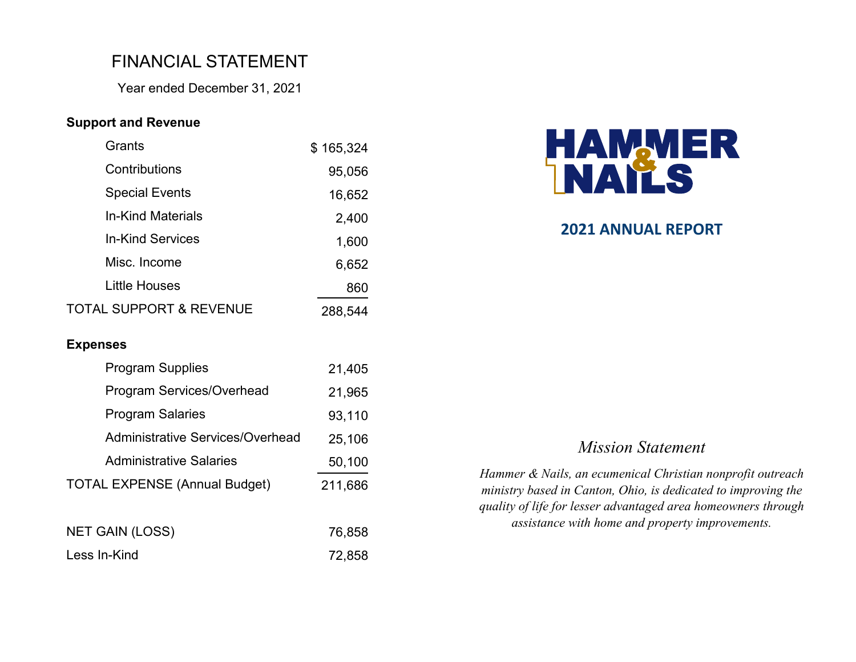# FINANCIAL STATEMENT

Year ended December 31, 2021

### **Support and Revenue**

| Grants                   | \$165,324 |
|--------------------------|-----------|
| Contributions            | 95,056    |
| <b>Special Events</b>    | 16,652    |
| <b>In-Kind Materials</b> | 2,400     |
| In-Kind Services         | 1,600     |
| Misc. Income             | 6,652     |
| <b>Little Houses</b>     | 860       |
| TOTAL SUPPORT & REVENUE  | 288,544   |

#### **Expenses**

| <b>Program Supplies</b>                 | 21,405  |
|-----------------------------------------|---------|
| <b>Program Services/Overhead</b>        | 21,965  |
| <b>Program Salaries</b>                 | 93,110  |
| <b>Administrative Services/Overhead</b> | 25,106  |
| <b>Administrative Salaries</b>          | 50,100  |
| <b>TOTAL EXPENSE (Annual Budget)</b>    | 211,686 |
|                                         |         |
| NET GAIN (LOSS)                         | 76,858  |
| Less In-Kind                            | 72,858  |



### **2021 ANNUAL REPORT**

### *Mission Statement*

*Hammer & Nails, an ecumenical Christian nonprofit outreach ministry based in Canton, Ohio, is dedicated to improving the quality of life for lesser advantaged area homeowners through assistance with home and property improvements.*